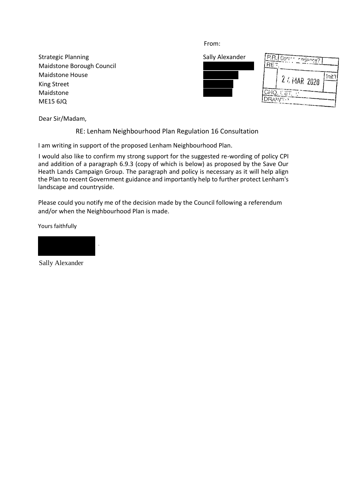#### From:

| Sally Alexander | (P.R.) Corner Innance?     |
|-----------------|----------------------------|
|                 | Init'<br>$(2.4$ MAR 2020 ' |
|                 | ひいにい                       |

Strategic Planning Maidstone Borough Council Maidstone House King Street Maidstone ME15 6JQ

Dear Sir/Madam,

RE: Lenham Neighbourhood Plan Regulation 16 Consultation

I am writing in support of the proposed Lenham Neighbourhood Plan.

I would also like to confirm my strong support for the suggested re-wording of policy CPI and addition of a paragraph 6.9.3 (copy of which is below) as proposed by the Save Our Heath Lands Campaign Group. The paragraph and policy is necessary as it will help align the Plan to recent Government guidance and importantly help to further protect Lenham's landscape and countryside.

Please could you notify me of the decision made by the Council following a referendum and/or when the Neighbourhood Plan is made.

Yours faithfully



Sally Alexander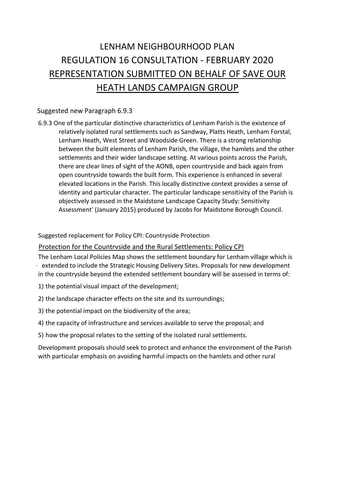# LENHAM NEIGHBOURHOOD PLAN REGULATION 16 CONSULTATION - FEBRUARY 2020 REPRESENTATION SUBMITTED ON BEHALF OF SAVE OUR HEATH LANDS CAMPAIGN GROUP

## Suggested new Paragraph 6.9.3

6.9.3 One of the particular distinctive characteristics of Lenham Parish is the existence of relatively isolated rural settlements such as Sandway, Platts Heath, Lenham Forstal, Lenham Heath, West Street and Woodside Green. There is a strong relationship between the built elements of Lenham Parish, the village, the hamlets and the other settlements and their wider landscape setting. At various points across the Parish, there are clear lines of sight of the AONB, open countryside and back again from open countryside towards the built form. This experience is enhanced in several elevated locations in the Parish. This locally distinctive context provides a sense of identity and particular character. The particular landscape sensitivity of the Parish is objectively assessed in the Maidstone Landscape Capacity Study: Sensitivity Assessment' (January 2015) produced by Jacobs for Maidstone Borough Council.

### Suggested replacement for Policy CPI: Countryside Protection

## Protection for the Countrvside and the Rural Settlements: Policy CPI

The Lenham Local Policies Map shows the settlement boundary for Lenham village which is extended to include the Strategic Housing Delivery Sites. Proposals for new development in the countryside beyond the extended settlement boundary will be assessed in terms of:

- 1) the potential visual impact of the development;
- 2) the landscape character effects on the site and its surroundings;
- 3) the potential impact on the biodiversity of the area;
- 4) the capacity of infrastructure and services available to serve the proposal; and
- 5) how the proposal relates to the setting of the isolated rural settlements.

Development proposals should seek to protect and enhance the environment of the Parish with particular emphasis on avoiding harmful impacts on the hamlets and other rural